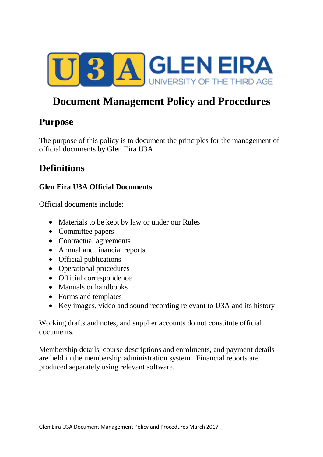

# **Document Management Policy and Procedures**

### **Purpose**

The purpose of this policy is to document the principles for the management of official documents by Glen Eira U3A.

### **Definitions**

### **Glen Eira U3A Official Documents**

Official documents include:

- Materials to be kept by law or under our Rules
- Committee papers
- Contractual agreements
- Annual and financial reports
- Official publications
- Operational procedures
- Official correspondence
- Manuals or handbooks
- Forms and templates
- Key images, video and sound recording relevant to U3A and its history

Working drafts and notes, and supplier accounts do not constitute official documents.

Membership details, course descriptions and enrolments, and payment details are held in the membership administration system. Financial reports are produced separately using relevant software.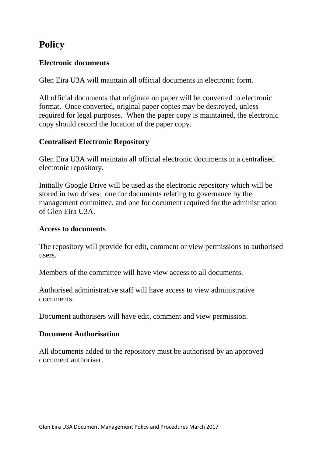# **Policy**

### **Electronic documents**

Glen Eira U3A will maintain all official documents in electronic form.

All official documents that originate on paper will be converted to electronic format. Once converted, original paper copies may be destroyed, unless required for legal purposes. When the paper copy is maintained, the electronic copy should record the location of the paper copy.

### **Centralised Electronic Repository**

Glen Eira U3A will maintain all official electronic documents in a centralised electronic repository.

Initially Google Drive will be used as the electronic repository which will be stored in two drives: one for documents relating to governance by the management committee, and one for document required for the administration of Glen Eira U3A.

#### **Access to documents**

The repository will provide for edit, comment or view permissions to authorised users.

Members of the committee will have view access to all documents.

Authorised administrative staff will have access to view administrative documents.

Document authorisers will have edit, comment and view permission.

### **Document Authorisation**

All documents added to the repository must be authorised by an approved document authoriser.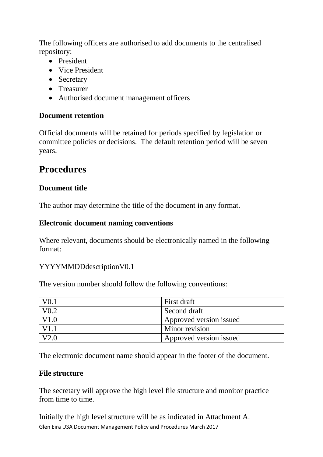The following officers are authorised to add documents to the centralised repository:

- President
- Vice President
- Secretary
- Treasurer
- Authorised document management officers

### **Document retention**

Official documents will be retained for periods specified by legislation or committee policies or decisions. The default retention period will be seven years.

### **Procedures**

### **Document title**

The author may determine the title of the document in any format.

#### **Electronic document naming conventions**

Where relevant, documents should be electronically named in the following format:

#### YYYYMMDDdescriptionV0.1

The version number should follow the following conventions:

|                  | First draft             |
|------------------|-------------------------|
| V <sub>0.2</sub> | Second draft            |
| V1.0             | Approved version issued |
| V1               | Minor revision          |
| V2 O             | Approved version issued |

The electronic document name should appear in the footer of the document.

#### **File structure**

The secretary will approve the high level file structure and monitor practice from time to time.

Glen Eira U3A Document Management Policy and Procedures March 2017 Initially the high level structure will be as indicated in Attachment A.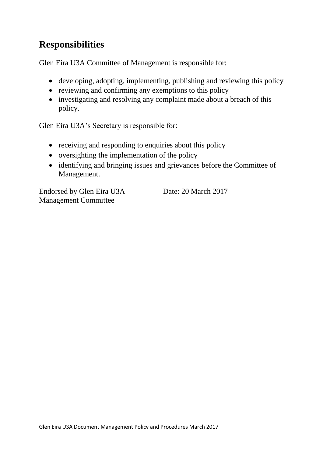# **Responsibilities**

Glen Eira U3A Committee of Management is responsible for:

- developing, adopting, implementing, publishing and reviewing this policy
- reviewing and confirming any exemptions to this policy
- investigating and resolving any complaint made about a breach of this policy.

Glen Eira U3A's Secretary is responsible for:

- receiving and responding to enquiries about this policy
- oversighting the implementation of the policy
- identifying and bringing issues and grievances before the Committee of Management.

Endorsed by Glen Eira U3A Management Committee

Date: 20 March 2017